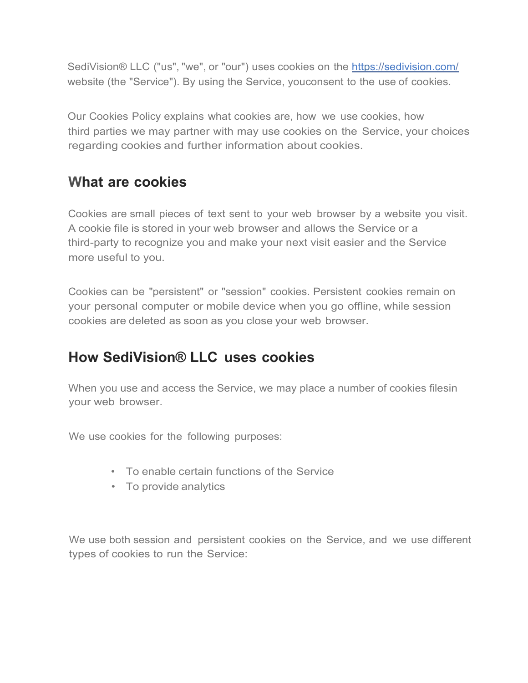SediVision® LLC ("us", "we", or "our") uses cookies on the https://sedivision.com/ website (the "Service"). By using the Service, youconsent to the use of cookies.

Our Cookies Policy explains what cookies are, how we use cookies, how third parties we may partner with may use cookies on the Service, your choices regarding cookies and further information about cookies.

## **What are cookies**

Cookies are small pieces of text sent to your web browser by a website you visit. A cookie file is stored in your web browser and allows the Service or a third-party to recognize you and make your next visit easier and the Service more useful to you.

Cookies can be "persistent" or "session" cookies. Persistent cookies remain on your personal computer or mobile device when you go offline, while session cookies are deleted as soon as you close your web browser.

## **How SediVision® LLC uses cookies**

When you use and access the Service, we may place a number of cookies filesin your web browser.

We use cookies for the following purposes:

- To enable certain functions of the Service
- To provide analytics

We use both session and persistent cookies on the Service, and we use different types of cookies to run the Service: